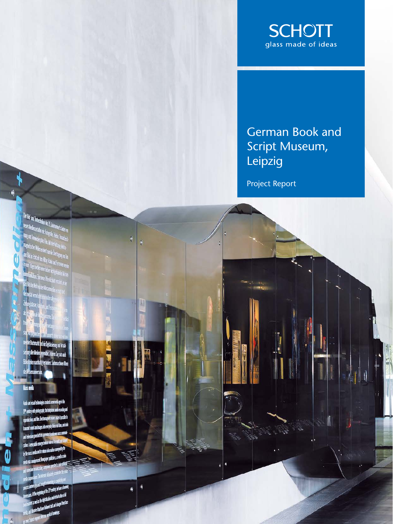

# German Book and Script Museum, **Leipzig**

Project Report

Autio and visual technologies created a new media age in the is yiino 19 century with photography, the lelephone, and vir nasnaž i podeb totion and film. Electrona line adrai trasmi somdanimages i and television gave birth to a chin Anery. ly the next media and for the ave palishes, as vel as refo ub 130 s moesty at my man<br>sins A belegining of the 21 centrs, where is<br>sins A belegining of the 21 central divided or mans A the legions of the 21 centrs is not compared at<br>an indicated as the digital data and minimized at a<br>partect as well as the digital data compared bet has elsons in any of the depths and interference in<br>A munted as red as the depths and charged bent are:<br>the end bounded bent bent bent as a property of powerlaps.

mals and the first fact the movement of powering.<br>In one Send expose for our original coming.

kr Budmark.<br><sup>He Budmark:</sup> <mark>nd de Digitaliser og und ringå</mark>r

niber, in deren Sog sich auch verinden, Sudwachinen Blen

١

e ale Moin les

**Has nedi** 

Ø

O

**The Case of American by E. Jahrman's Barn**<br>Texts Median at Jan Entry de Telen Touchest<br>The grad Tomater plus Tim Lin And The China **The Modern Collacter Collacter Collacter Collacter**<br>**Anno Kern Georgia: Tim Mil der Northern Collacter**<br>Angeletischer Weben entertrans in Julie Williams Gebium<br>Angeletischer Weben entertrans in der Karl der Karl der Karl the same interesting place Film . Mit der Huttung eight.<br>The prefection Wellen erobert mundie (hertrage eight).<br>And Bild in Echturik den Alber Echturalen am Ton n an an am bhliag Pada ua Farcalen as a<br>D'ua Trigennellen ere bisher nicht gekanten klose<br>Annualizher Francouzher en bisher ion. Eine voue (Means au ... d der Welt von den Maxis

 $\ddot{r}$ 

 $\ddot{\tau}$ 

દ્

 $\frac{1}{2}$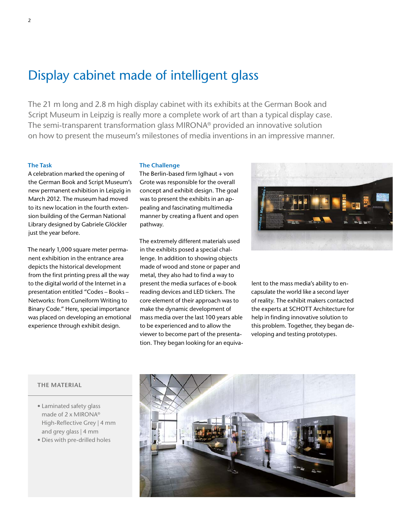## Display cabinet made of intelligent glass

The 21 m long and 2.8 m high display cabinet with its exhibits at the German Book and Script Museum in Leipzig is really more a complete work of art than a typical display case. The semi-transparent transformation glass MIRONA® provided an innovative solution on how to present the museum's milestones of media inventions in an impressive manner.

### **The Task**

A celebration marked the opening of the German Book and Script Museum's new permanent exhibition in Leipzig in March 2012. The museum had moved to its new location in the fourth extension building of the German National Library designed by Gabriele Glöckler just the year before.

The nearly 1,000 square meter permanent exhibition in the entrance area depicts the historical development from the first printing press all the way to the digital world of the Internet in a presentation entitled "Codes – Books – Networks: from Cuneiform Writing to Binary Code." Here, special importance was placed on developing an emotional experience through exhibit design.

#### **The Challenge**

The Berlin-based firm Iglhaut + von Grote was responsible for the overall concept and exhibit design. The goal was to present the exhibits in an appealing and fascinating multimedia manner by creating a fluent and open pathway.

The extremely different materials used in the exhibits posed a special challenge. In addition to showing objects made of wood and stone or paper and metal, they also had to find a way to present the media surfaces of e-book reading devices and LED tickers. The core element of their approach was to make the dynamic development of mass media over the last 100 years able to be experienced and to allow the viewer to become part of the presentation. They began looking for an equiva-



lent to the mass media's ability to encapsulate the world like a second layer of reality. The exhibit makers contacted the experts at SCHOTT Architecture for help in finding innovative solution to this problem. Together, they began developing and testing prototypes.

## **THE MATERIAL**

- Laminated safety glass made of 2 x MIRONA® High-Reflective Grey | 4 mm and grey glass | 4 mm
- Dies with pre-drilled holes

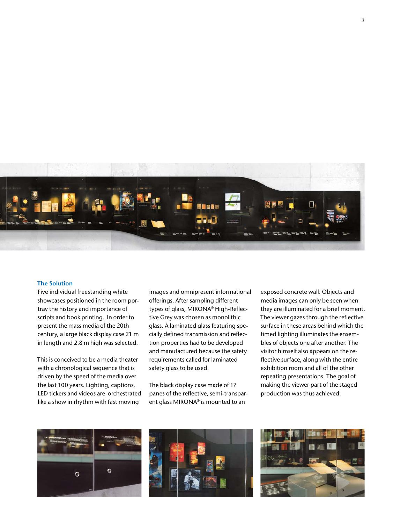

#### **The Solution**

Five individual freestanding white showcases positioned in the room portray the history and importance of scripts and book printing. In order to present the mass media of the 20th century, a large black display case 21 m in length and 2.8 m high was selected.

This is conceived to be a media theater with a chronological sequence that is driven by the speed of the media over the last 100 years. Lighting, captions, LED tickers and videos are orchestrated like a show in rhythm with fast moving

images and omnipresent informational offerings. After sampling different types of glass, MIRONA® High-Reflective Grey was chosen as monolithic glass. A laminated glass featuring specially defined transmission and reflection properties had to be developed and manufactured because the safety requirements called for laminated safety glass to be used.

The black display case made of 17 panes of the reflective, semi-transparent glass MIRONA® is mounted to an

exposed concrete wall. Objects and media images can only be seen when they are illuminated for a brief moment. The viewer gazes through the reflective surface in these areas behind which the timed lighting illuminates the ensembles of objects one after another. The visitor himself also appears on the reflective surface, along with the entire exhibition room and all of the other repeating presentations. The goal of making the viewer part of the staged production was thus achieved.